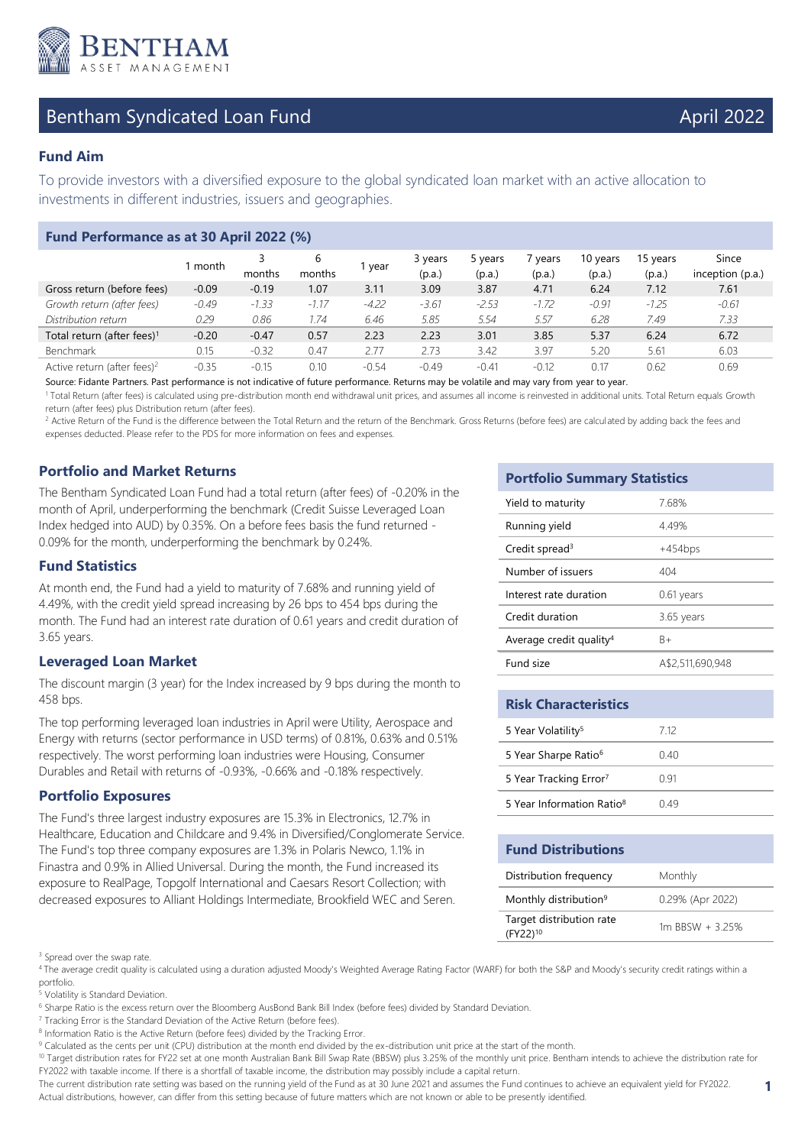

# Bentham Syndicated Loan Fund April 2022

## **Fund Aim**

To provide investors with a diversified exposure to the global syndicated loan market with an active allocation to investments in different industries, issuers and geographies.

| Fund Performance as at 30 April 2022 (%) |         |         |             |         |                   |                   |                   |                    |                    |                           |
|------------------------------------------|---------|---------|-------------|---------|-------------------|-------------------|-------------------|--------------------|--------------------|---------------------------|
|                                          | 1 month | months  | 6<br>months | year    | 3 years<br>(p.a.) | 5 years<br>(p.a.) | ' years<br>(p.a.) | 10 years<br>(p.a.) | 15 years<br>(p.a.) | Since<br>inception (p.a.) |
| Gross return (before fees)               | $-0.09$ | $-0.19$ | 1.07        | 3.11    | 3.09              | 3.87              | 4.71              | 6.24               | 7.12               | 7.61                      |
| Growth return (after fees)               | $-0.49$ | $-1.33$ | $-1.17$     | $-4.22$ | $-3.61$           | $-2.53$           | $-1.72$           | $-0.91$            | $-1.25$            | $-0.61$                   |
| Distribution return                      | 0.29    | 0.86    | 1.74        | 6.46    | 5.85              | 5.54              | 5.57              | 6.28               | 7.49               | 7.33                      |
| Total return (after fees) <sup>1</sup>   | $-0.20$ | $-0.47$ | 0.57        | 2.23    | 2.23              | 3.01              | 3.85              | 5.37               | 6.24               | 6.72                      |
| Benchmark                                | 0.15    | $-0.32$ | 0.47        | 2.77    | 2.73              | 3.42              | 3.97              | 5.20               | 5.61               | 6.03                      |
| Active return (after fees) <sup>2</sup>  | $-0.35$ | $-0.15$ | 0.10        | $-0.54$ | $-0.49$           | $-0.41$           | $-0.12$           | 0.17               | 0.62               | 0.69                      |

Source: Fidante Partners. Past performance is not indicative of future performance. Returns may be volatile and may vary from year to year.

<sup>1</sup> Total Return (after fees) is calculated using pre-distribution month end withdrawal unit prices, and assumes all income is reinvested in additional units. Total Return equals Growth return (after fees) plus Distribution return (after fees).

<sup>2</sup> Active Return of the Fund is the difference between the Total Return and the return of the Benchmark. Gross Returns (before fees) are calculated by adding back the fees and expenses deducted. Please refer to the PDS for more information on fees and expenses.

### **Portfolio and Market Returns**

The Bentham Syndicated Loan Fund had a total return (after fees) of -0.20% in the month of April, underperforming the benchmark (Credit Suisse Leveraged Loan Index hedged into AUD) by 0.35%. On a before fees basis the fund returned - 0.09% for the month, underperforming the benchmark by 0.24%.

### **Fund Statistics**

At month end, the Fund had a yield to maturity of 7.68% and running yield of 4.49%, with the credit yield spread increasing by 26 bps to 454 bps during the month. The Fund had an interest rate duration of 0.61 years and credit duration of 3.65 years.

#### **Leveraged Loan Market**

The discount margin (3 year) for the Index increased by 9 bps during the month to 458 bps.

The top performing leveraged loan industries in April were Utility, Aerospace and Energy with returns (sector performance in USD terms) of 0.81%, 0.63% and 0.51% respectively. The worst performing loan industries were Housing, Consumer Durables and Retail with returns of -0.93%, -0.66% and -0.18% respectively.

#### **Portfolio Exposures**

The Fund's three largest industry exposures are 15.3% in Electronics, 12.7% in Healthcare, Education and Childcare and 9.4% in Diversified/Conglomerate Service. The Fund's top three company exposures are 1.3% in Polaris Newco, 1.1% in Finastra and 0.9% in Allied Universal. During the month, the Fund increased its exposure to RealPage, Topgolf International and Caesars Resort Collection; with decreased exposures to Alliant Holdings Intermediate, Brookfield WEC and Seren.

#### <sup>3</sup> Spread over the swap rate.

<sup>4</sup>The average credit quality is calculated using a duration adjusted Moody's Weighted Average Rating Factor (WARF) for both the S&P and Moody's security credit ratings within a portfolio.

5 Volatility is Standard Deviation.

<sup>7</sup> Tracking Error is the Standard Deviation of the Active Return (before fees).

<sup>8</sup> Information Ratio is the Active Return (before fees) divided by the Tracking Error.

<sup>9</sup> Calculated as the cents per unit (CPU) distribution at the month end divided by the ex-distribution unit price at the start of the month.

10 Target distribution rates for FY22 set at one month Australian Bank Bill Swap Rate (BBSW) plus 3.25% of the monthly unit price. Bentham intends to achieve the distribution rate for FY2022 with taxable income. If there is a shortfall of taxable income, the distribution may possibly include a capital return.

The current distribution rate setting was based on the running yield of the Fund as at 30 June 2021 and assumes the Fund continues to achieve an equivalent yield for FY2022. Actual distributions, however, can differ from this setting because of future matters which are not known or able to be presently identified.

### **Portfolio Summary Statistics**

| Yield to maturity                   | 7.68%            |
|-------------------------------------|------------------|
| Running yield                       | 4.49%            |
| Credit spread <sup>3</sup>          | $+454$ bps       |
| Number of issuers                   | 404              |
| Interest rate duration              | 0.61 years       |
| Credit duration                     | 3.65 years       |
| Average credit quality <sup>4</sup> | B+               |
| Fund size                           | A\$2,511,690,948 |

| <b>Risk Characteristics</b>           |      |  |  |  |
|---------------------------------------|------|--|--|--|
| 5 Year Volatility <sup>5</sup>        | 712  |  |  |  |
| 5 Year Sharpe Ratio <sup>6</sup>      | 0 40 |  |  |  |
| 5 Year Tracking Error <sup>7</sup>    | O 91 |  |  |  |
| 5 Year Information Ratio <sup>8</sup> | በ 49 |  |  |  |

#### **Fund Distributions**

| Distribution frequency                           | Monthly          |
|--------------------------------------------------|------------------|
| Monthly distribution <sup>9</sup>                | 0.29% (Apr 2022) |
| Target distribution rate<br>(FY22) <sup>10</sup> | 1m BBSW + 3.25%  |

<sup>&</sup>lt;sup>6</sup> Sharpe Ratio is the excess return over the Bloomberg AusBond Bank Bill Index (before fees) divided by Standard Deviation.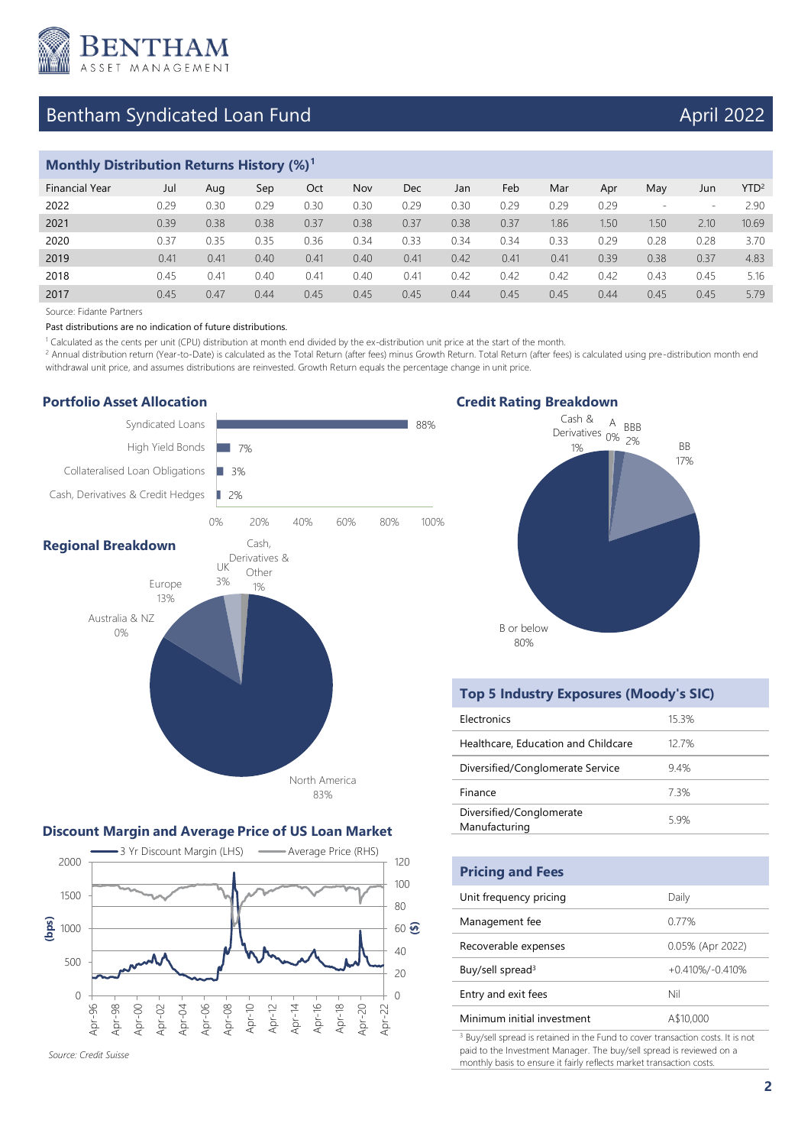

# Bentham Syndicated Loan Fund April 2022

## **Monthly Distribution Returns History (%)<sup>1</sup>**

| <b>Financial Year</b> | Jul  | Aug  | Sep  | Oct  | Nov  | Dec  | Jan  | Feb  | Mar  | Apr  | May                      | Jun                      | $YTD^2$ |
|-----------------------|------|------|------|------|------|------|------|------|------|------|--------------------------|--------------------------|---------|
| 2022                  | 0.29 | 0.30 | 0.29 | 0.30 | 0.30 | 0.29 | 0.30 | 0.29 | 0.29 | 0.29 | $\overline{\phantom{a}}$ | $\overline{\phantom{a}}$ | 2.90    |
| 2021                  | 0.39 | 0.38 | 0.38 | 0.37 | 0.38 | 0.37 | 0.38 | 0.37 | 1.86 | 1.50 | 1.50                     | 2.10                     | 10.69   |
| 2020                  | 0.37 | 0.35 | 0.35 | 0.36 | 0.34 | 0.33 | 0.34 | 0.34 | 0.33 | 0.29 | 0.28                     | 0.28                     | 3.70    |
| 2019                  | 0.41 | 0.41 | 0.40 | 0.41 | 0.40 | 0.41 | 0.42 | 0.41 | 0.41 | 0.39 | 0.38                     | 0.37                     | 4.83    |
| 2018                  | 0.45 | 0.41 | 0.40 | 0.41 | 0.40 | 0.41 | 0.42 | 0.42 | 0.42 | 0.42 | 0.43                     | 0.45                     | 5.16    |
| 2017                  | 0.45 | 0.47 | 0.44 | 0.45 | 0.45 | 0.45 | 0.44 | 0.45 | 0.45 | 0.44 | 0.45                     | 0.45                     | 5.79    |
|                       |      |      |      |      |      |      |      |      |      |      |                          |                          |         |

Source: Fidante Partners

Past distributions are no indication of future distributions.

1 Calculated as the cents per unit (CPU) distribution at month end divided by the ex-distribution unit price at the start of the month.

<sup>2</sup> Annual distribution return (Year-to-Date) is calculated as the Total Return (after fees) minus Growth Return. Total Return (after fees) is calculated using pre-distribution month end withdrawal unit price, and assumes distributions are reinvested. Growth Return equals the percentage change in unit price.

#### **Portfolio Asset Allocation** Syndicated Loans 88% High Yield Bonds 7% Collateralised Loan Obligations m. 3% Cash, Derivatives & Credit Hedges D 2% 0% 20% 40% 60% 80% 100% Cash, **Regional Breakdown** Derivatives & UK Other 3% Europe 1% 13% Australia & NZ 0% North America 83%

#### **Discount Margin and Average Price of US Loan Market**



*Source: Credit Suisse* 

#### **Credit Rating Breakdown**



### **Top 5 Industry Exposures (Moody's SIC)**

| Electronics                               | 15.3% |
|-------------------------------------------|-------|
| Healthcare, Education and Childcare       | 127%  |
| Diversified/Conglomerate Service          | 94%   |
| Finance                                   | 73%   |
| Diversified/Conglomerate<br>Manufacturing | 59%   |

| <b>Pricing and Fees</b>      |                     |
|------------------------------|---------------------|
| Unit frequency pricing       | Daily               |
| Management fee               | 0.77%               |
| Recoverable expenses         | 0.05% (Apr 2022)    |
| Buy/sell spread <sup>3</sup> | $+0.410\%/-0.410\%$ |
| Entry and exit fees          | Nil                 |
| Minimum initial investment   | A\$10,000           |
| .                            |                     |

<sup>3</sup> Buy/sell spread is retained in the Fund to cover transaction costs. It is not paid to the Investment Manager. The buy/sell spread is reviewed on a monthly basis to ensure it fairly reflects market transaction costs.